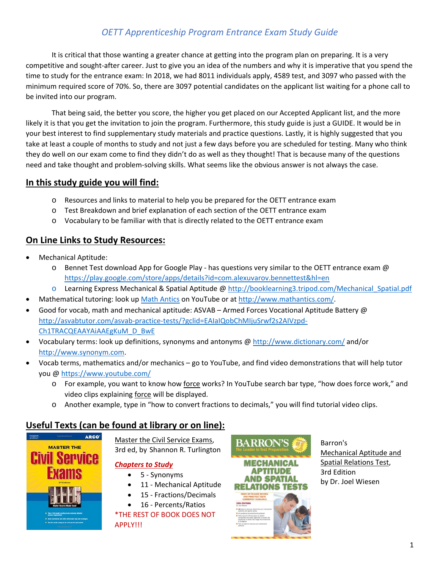# *OETT Apprenticeship Program Entrance Exam Study Guide*

It is critical that those wanting a greater chance at getting into the program plan on preparing. It is a very competitive and sought-after career. Just to give you an idea of the numbers and why it is imperative that you spend the time to study for the entrance exam: In 2018, we had 8011 individuals apply, 4589 test, and 3097 who passed with the minimum required score of 70%. So, there are 3097 potential candidates on the applicant list waiting for a phone call to be invited into our program.

That being said, the better you score, the higher you get placed on our Accepted Applicant list, and the more likely it is that you get the invitation to join the program. Furthermore, this study guide is just a GUIDE. It would be in your best interest to find supplementary study materials and practice questions. Lastly, it is highly suggested that you take at least a couple of months to study and not just a few days before you are scheduled for testing. Many who think they do well on our exam come to find they didn't do as well as they thought! That is because many of the questions need and take thought and problem-solving skills. What seems like the obvious answer is not always the case.

## **In this study guide you will find:**

- o Resources and links to material to help you be prepared for the OETT entrance exam
- o Test Breakdown and brief explanation of each section of the OETT entrance exam
- o Vocabulary to be familiar with that is directly related to the OETT entrance exam

## **On Line Links to Study Resources:**

- Mechanical Aptitude:
	- o Bennet Test download App for Google Play has questions very similar to the OETT entrance exam @ <https://play.google.com/store/apps/details?id=com.alexuvarov.bennettest&hl=en>
	- o Learning Express Mechanical & Spatial Aptitude @ [http://booklearning3.tripod.com/Mechanical\\_Spatial.pdf](http://booklearning3.tripod.com/Mechanical_Spatial.pdf)
- Mathematical tutoring: look up [Math Antics](https://www.youtube.com/results?search_query=math+antics) on YouTube or at [http://www.mathantics.com/.](http://www.mathantics.com/)
- Good for vocab, math and mechanical aptitude: ASVAB Armed Forces Vocational Aptitude Battery @ [http://asvabtutor.com/asvab-practice-tests/?gclid=EAIaIQobChMIjuSrwf2s2AIVzpd-](http://asvabtutor.com/asvab-practice-tests/?gclid=EAIaIQobChMIjuSrwf2s2AIVzpd-Ch1TRACQEAAYAiAAEgKuM_D_BwE)[Ch1TRACQEAAYAiAAEgKuM\\_D\\_BwE](http://asvabtutor.com/asvab-practice-tests/?gclid=EAIaIQobChMIjuSrwf2s2AIVzpd-Ch1TRACQEAAYAiAAEgKuM_D_BwE)
- Vocabulary terms: look up definitions, synonyms and antonyms @<http://www.dictionary.com/> and/or [http://www.synonym.com.](http://www.synonym.com/)
- Vocab terms, mathematics and/or mechanics go to YouTube, and find video demonstrations that will help tutor you @ <https://www.youtube.com/>
	- o For example, you want to know how force works? In YouTube search bar type, "how does force work," and video clips explaining force will be displayed.
	- o Another example, type in "how to convert fractions to decimals," you will find tutorial video clips.

## **Useful Texts (can be found at library or on line):**



Master the Civil Service Exams, 3rd ed, by Shannon R. Turlington

### *Chapters to Study*

- 5 Synonyms
- 11 Mechanical Aptitude
- 15 Fractions/Decimals
- 16 Percents/Ratios

\*THE REST OF BOOK DOES NOT APPLY!!!



Barron's Mechanical Aptitude and Spatial Relations Test, 3rd Edition by Dr. Joel Wiesen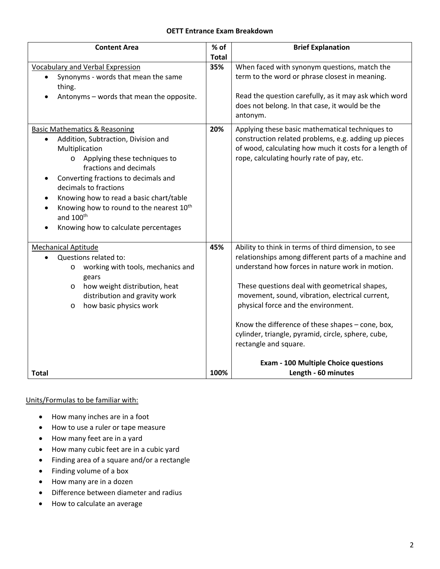### **OETT Entrance Exam Breakdown**

| <b>Content Area</b>                                               | % of         | <b>Brief Explanation</b>                                                                                            |
|-------------------------------------------------------------------|--------------|---------------------------------------------------------------------------------------------------------------------|
|                                                                   | <b>Total</b> |                                                                                                                     |
| Vocabulary and Verbal Expression                                  | 35%          | When faced with synonym questions, match the                                                                        |
| Synonyms - words that mean the same<br>$\bullet$<br>thing.        |              | term to the word or phrase closest in meaning.                                                                      |
| Antonyms - words that mean the opposite.                          |              | Read the question carefully, as it may ask which word<br>does not belong. In that case, it would be the<br>antonym. |
| <b>Basic Mathematics &amp; Reasoning</b>                          | 20%          | Applying these basic mathematical techniques to                                                                     |
| Addition, Subtraction, Division and<br>$\bullet$                  |              | construction related problems, e.g. adding up pieces                                                                |
| Multiplication                                                    |              | of wood, calculating how much it costs for a length of                                                              |
| Applying these techniques to<br>$\circ$<br>fractions and decimals |              | rope, calculating hourly rate of pay, etc.                                                                          |
| Converting fractions to decimals and<br>٠                         |              |                                                                                                                     |
| decimals to fractions                                             |              |                                                                                                                     |
| Knowing how to read a basic chart/table<br>$\bullet$              |              |                                                                                                                     |
| Knowing how to round to the nearest 10 <sup>th</sup><br>$\bullet$ |              |                                                                                                                     |
| and 100 <sup>th</sup>                                             |              |                                                                                                                     |
| Knowing how to calculate percentages<br>$\bullet$                 |              |                                                                                                                     |
| <b>Mechanical Aptitude</b>                                        | 45%          | Ability to think in terms of third dimension, to see                                                                |
| Questions related to:<br>$\bullet$                                |              | relationships among different parts of a machine and                                                                |
| working with tools, mechanics and<br>$\circ$                      |              | understand how forces in nature work in motion.                                                                     |
| gears                                                             |              |                                                                                                                     |
| how weight distribution, heat<br>$\circ$                          |              | These questions deal with geometrical shapes,                                                                       |
| distribution and gravity work                                     |              | movement, sound, vibration, electrical current,                                                                     |
| how basic physics work<br>O                                       |              | physical force and the environment.                                                                                 |
|                                                                   |              | Know the difference of these shapes - cone, box,                                                                    |
|                                                                   |              | cylinder, triangle, pyramid, circle, sphere, cube,                                                                  |
|                                                                   |              | rectangle and square.                                                                                               |
|                                                                   |              | <b>Exam - 100 Multiple Choice questions</b>                                                                         |
| <b>Total</b>                                                      | 100%         | Length - 60 minutes                                                                                                 |

### Units/Formulas to be familiar with:

- How many inches are in a foot
- How to use a ruler or tape measure
- How many feet are in a yard
- How many cubic feet are in a cubic yard
- Finding area of a square and/or a rectangle
- Finding volume of a box
- How many are in a dozen
- Difference between diameter and radius
- How to calculate an average